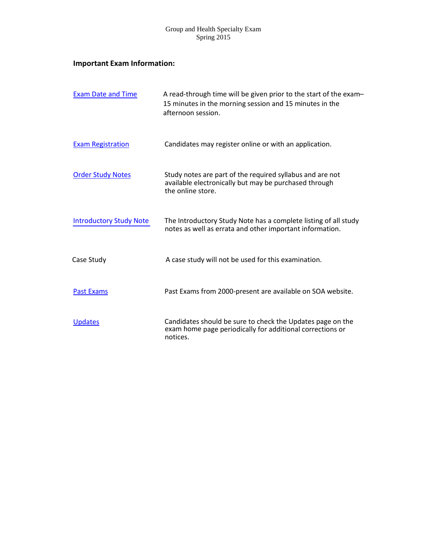# **Important Exam Information:**

| <b>Exam Date and Time</b>      | A read-through time will be given prior to the start of the exam-<br>15 minutes in the morning session and 15 minutes in the<br>afternoon session. |
|--------------------------------|----------------------------------------------------------------------------------------------------------------------------------------------------|
| <b>Exam Registration</b>       | Candidates may register online or with an application.                                                                                             |
| <b>Order Study Notes</b>       | Study notes are part of the required syllabus and are not<br>available electronically but may be purchased through<br>the online store.            |
| <b>Introductory Study Note</b> | The Introductory Study Note has a complete listing of all study<br>notes as well as errata and other important information.                        |
| Case Study                     | A case study will not be used for this examination.                                                                                                |
| <b>Past Exams</b>              | Past Exams from 2000-present are available on SOA website.                                                                                         |
| <b>Updates</b>                 | Candidates should be sure to check the Updates page on the<br>exam home page periodically for additional corrections or<br>notices.                |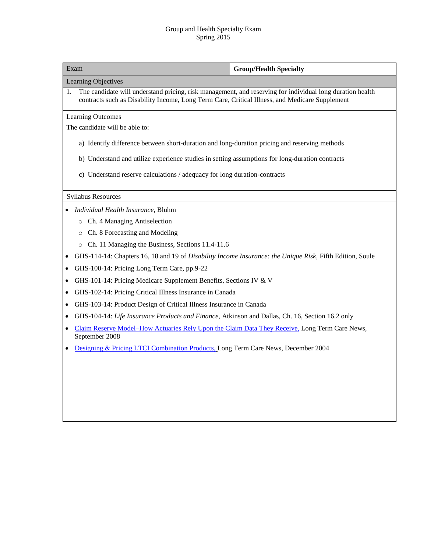| Exam                                                                                                                                                                                                              | <b>Group/Health Specialty</b> |  |  |  |
|-------------------------------------------------------------------------------------------------------------------------------------------------------------------------------------------------------------------|-------------------------------|--|--|--|
| Learning Objectives                                                                                                                                                                                               |                               |  |  |  |
| The candidate will understand pricing, risk management, and reserving for individual long duration health<br>1.<br>contracts such as Disability Income, Long Term Care, Critical Illness, and Medicare Supplement |                               |  |  |  |
| <b>Learning Outcomes</b>                                                                                                                                                                                          |                               |  |  |  |
| The candidate will be able to:                                                                                                                                                                                    |                               |  |  |  |
| a) Identify difference between short-duration and long-duration pricing and reserving methods                                                                                                                     |                               |  |  |  |
| b) Understand and utilize experience studies in setting assumptions for long-duration contracts                                                                                                                   |                               |  |  |  |
| c) Understand reserve calculations / adequacy for long duration-contracts                                                                                                                                         |                               |  |  |  |
| <b>Syllabus Resources</b>                                                                                                                                                                                         |                               |  |  |  |
| Individual Health Insurance, Bluhm                                                                                                                                                                                |                               |  |  |  |
| Ch. 4 Managing Antiselection                                                                                                                                                                                      |                               |  |  |  |
| Ch. 8 Forecasting and Modeling<br>$\circ$                                                                                                                                                                         |                               |  |  |  |
| Ch. 11 Managing the Business, Sections 11.4-11.6<br>$\circ$                                                                                                                                                       |                               |  |  |  |
| GHS-114-14: Chapters 16, 18 and 19 of Disability Income Insurance: the Unique Risk, Fifth Edition, Soule                                                                                                          |                               |  |  |  |
| GHS-100-14: Pricing Long Term Care, pp.9-22<br>$\bullet$                                                                                                                                                          |                               |  |  |  |
| GHS-101-14: Pricing Medicare Supplement Benefits, Sections IV & V                                                                                                                                                 |                               |  |  |  |
| GHS-102-14: Pricing Critical Illness Insurance in Canada<br>٠                                                                                                                                                     |                               |  |  |  |
| GHS-103-14: Product Design of Critical Illness Insurance in Canada                                                                                                                                                |                               |  |  |  |
| GHS-104-14: Life Insurance Products and Finance, Atkinson and Dallas, Ch. 16, Section 16.2 only                                                                                                                   |                               |  |  |  |
| Claim Reserve Model-How Actuaries Rely Upon the Claim Data They Receive, Long Term Care News,<br>September 2008                                                                                                   |                               |  |  |  |
| Designing & Pricing LTCI Combination Products, Long Term Care News, December 2004                                                                                                                                 |                               |  |  |  |
|                                                                                                                                                                                                                   |                               |  |  |  |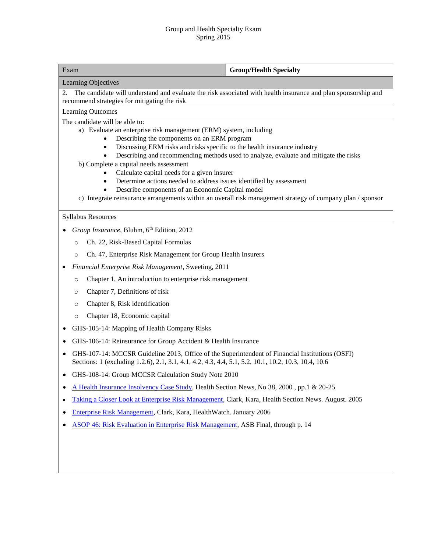| Exam                                                                                                                                                                                                                | <b>Group/Health Specialty</b>                                                                              |  |  |  |  |
|---------------------------------------------------------------------------------------------------------------------------------------------------------------------------------------------------------------------|------------------------------------------------------------------------------------------------------------|--|--|--|--|
| Learning Objectives                                                                                                                                                                                                 |                                                                                                            |  |  |  |  |
| The candidate will understand and evaluate the risk associated with health insurance and plan sponsorship and<br>2.                                                                                                 |                                                                                                            |  |  |  |  |
| Learning Outcomes                                                                                                                                                                                                   | recommend strategies for mitigating the risk                                                               |  |  |  |  |
| The candidate will be able to:                                                                                                                                                                                      |                                                                                                            |  |  |  |  |
| a) Evaluate an enterprise risk management (ERM) system, including                                                                                                                                                   |                                                                                                            |  |  |  |  |
| Describing the components on an ERM program<br>Discussing ERM risks and risks specific to the health insurance industry<br>$\bullet$                                                                                |                                                                                                            |  |  |  |  |
| Describing and recommending methods used to analyze, evaluate and mitigate the risks                                                                                                                                |                                                                                                            |  |  |  |  |
| b) Complete a capital needs assessment                                                                                                                                                                              |                                                                                                            |  |  |  |  |
| Calculate capital needs for a given insurer<br>Determine actions needed to address issues identified by assessment                                                                                                  |                                                                                                            |  |  |  |  |
| Describe components of an Economic Capital model                                                                                                                                                                    |                                                                                                            |  |  |  |  |
|                                                                                                                                                                                                                     | c) Integrate reinsurance arrangements within an overall risk management strategy of company plan / sponsor |  |  |  |  |
| <b>Syllabus Resources</b>                                                                                                                                                                                           |                                                                                                            |  |  |  |  |
| Group Insurance, Bluhm, 6th Edition, 2012                                                                                                                                                                           |                                                                                                            |  |  |  |  |
| Ch. 22, Risk-Based Capital Formulas<br>$\circ$                                                                                                                                                                      |                                                                                                            |  |  |  |  |
| Ch. 47, Enterprise Risk Management for Group Health Insurers<br>$\circ$                                                                                                                                             |                                                                                                            |  |  |  |  |
| Financial Enterprise Risk Management, Sweeting, 2011                                                                                                                                                                |                                                                                                            |  |  |  |  |
| Chapter 1, An introduction to enterprise risk management<br>$\circ$                                                                                                                                                 |                                                                                                            |  |  |  |  |
| Chapter 7, Definitions of risk<br>$\circ$                                                                                                                                                                           |                                                                                                            |  |  |  |  |
| Chapter 8, Risk identification<br>$\circ$                                                                                                                                                                           |                                                                                                            |  |  |  |  |
| Chapter 18, Economic capital<br>$\circ$                                                                                                                                                                             |                                                                                                            |  |  |  |  |
| GHS-105-14: Mapping of Health Company Risks<br>$\bullet$                                                                                                                                                            |                                                                                                            |  |  |  |  |
| GHS-106-14: Reinsurance for Group Accident & Health Insurance<br>$\bullet$                                                                                                                                          |                                                                                                            |  |  |  |  |
| GHS-107-14: MCCSR Guideline 2013, Office of the Superintendent of Financial Institutions (OSFI)<br>$\bullet$<br>Sections: 1 (excluding 1.2.6), 2.1, 3.1, 4.1, 4.2, 4.3, 4.4, 5.1, 5.2, 10.1, 10.2, 10.3, 10.4, 10.6 |                                                                                                            |  |  |  |  |
| GHS-108-14: Group MCCSR Calculation Study Note 2010                                                                                                                                                                 |                                                                                                            |  |  |  |  |
| A Health Insurance Insolvency Case Study, Health Section News, No 38, 2000, pp.1 & 20-25<br>٠                                                                                                                       |                                                                                                            |  |  |  |  |
| Taking a Closer Look at Enterprise Risk Management, Clark, Kara, Health Section News. August. 2005<br>٠                                                                                                             |                                                                                                            |  |  |  |  |
| Enterprise Risk Management, Clark, Kara, HealthWatch. January 2006<br>٠                                                                                                                                             |                                                                                                            |  |  |  |  |
| <b>ASOP 46: Risk Evaluation in Enterprise Risk Management, ASB Final, through p. 14</b><br>٠                                                                                                                        |                                                                                                            |  |  |  |  |
|                                                                                                                                                                                                                     |                                                                                                            |  |  |  |  |
|                                                                                                                                                                                                                     |                                                                                                            |  |  |  |  |
|                                                                                                                                                                                                                     |                                                                                                            |  |  |  |  |

<u> 1989 - Johann Barn, mars eta bat erroman erroman erroman erroman erroman erroman erroman erroman erroman err</u>

 $\overline{\phantom{a}}$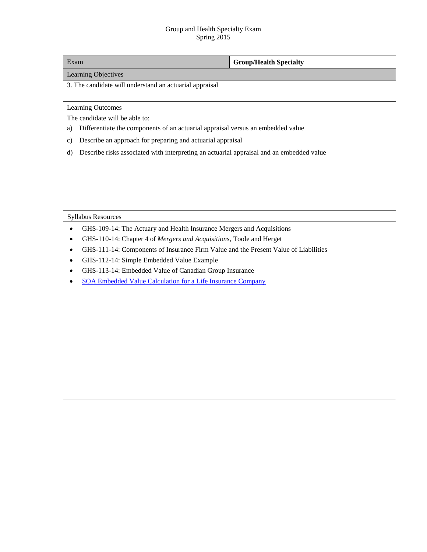| Exam                                                                                             | <b>Group/Health Specialty</b> |  |  |  |
|--------------------------------------------------------------------------------------------------|-------------------------------|--|--|--|
| Learning Objectives                                                                              |                               |  |  |  |
| 3. The candidate will understand an actuarial appraisal                                          |                               |  |  |  |
|                                                                                                  |                               |  |  |  |
| Learning Outcomes                                                                                |                               |  |  |  |
| The candidate will be able to:                                                                   |                               |  |  |  |
| Differentiate the components of an actuarial appraisal versus an embedded value<br>a)            |                               |  |  |  |
| Describe an approach for preparing and actuarial appraisal<br>$\mathbf{c})$                      |                               |  |  |  |
| Describe risks associated with interpreting an actuarial appraisal and an embedded value<br>d)   |                               |  |  |  |
|                                                                                                  |                               |  |  |  |
|                                                                                                  |                               |  |  |  |
|                                                                                                  |                               |  |  |  |
|                                                                                                  |                               |  |  |  |
| <b>Syllabus Resources</b>                                                                        |                               |  |  |  |
| GHS-109-14: The Actuary and Health Insurance Mergers and Acquisitions<br>$\bullet$               |                               |  |  |  |
| GHS-110-14: Chapter 4 of Mergers and Acquisitions, Toole and Herget                              |                               |  |  |  |
| GHS-111-14: Components of Insurance Firm Value and the Present Value of Liabilities<br>$\bullet$ |                               |  |  |  |
| GHS-112-14: Simple Embedded Value Example<br>$\bullet$                                           |                               |  |  |  |
| GHS-113-14: Embedded Value of Canadian Group Insurance                                           |                               |  |  |  |
| <b>SOA Embedded Value Calculation for a Life Insurance Company</b>                               |                               |  |  |  |
|                                                                                                  |                               |  |  |  |
|                                                                                                  |                               |  |  |  |
|                                                                                                  |                               |  |  |  |
|                                                                                                  |                               |  |  |  |
|                                                                                                  |                               |  |  |  |
|                                                                                                  |                               |  |  |  |
|                                                                                                  |                               |  |  |  |
|                                                                                                  |                               |  |  |  |
|                                                                                                  |                               |  |  |  |
|                                                                                                  |                               |  |  |  |